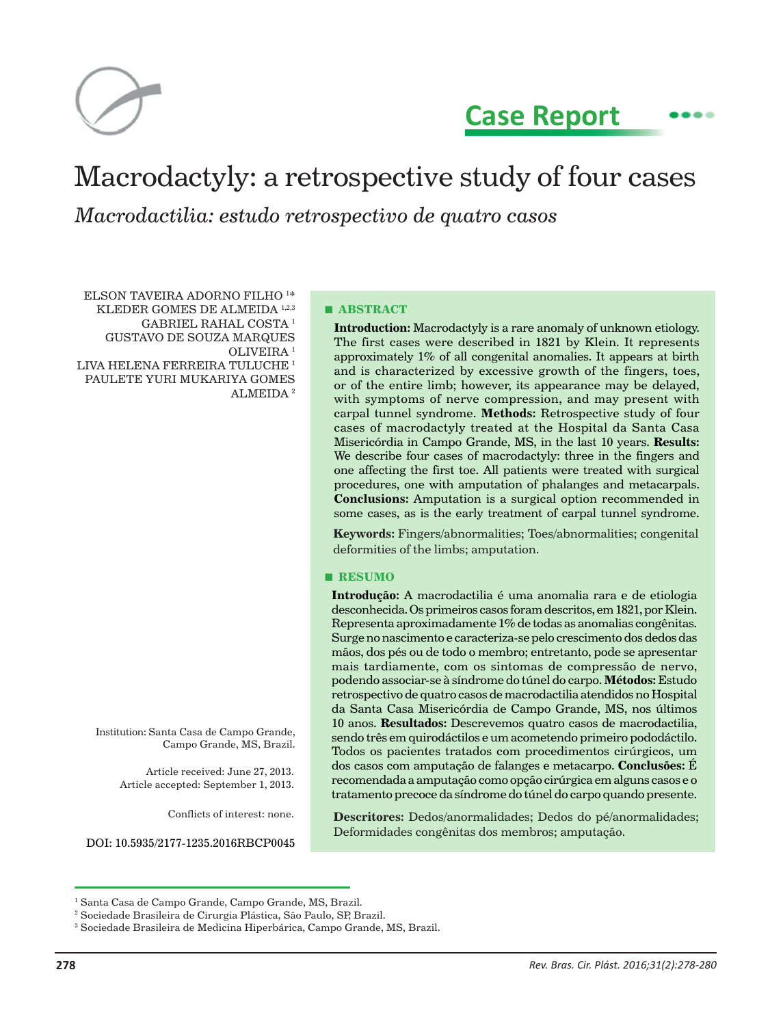

**Case Report**

 $\bullet$ 

# Macrodactyly: a retrospective study of four cases *Macrodactilia: estudo retrospectivo de quatro casos*

ELSON TAVEIRA ADORNO FILHO 1 \* KLEDER GOMES DE ALMEIDA 1,2,3 GABRIEL RAHAL COSTA 1 GUSTAVO DE SOUZA MARQUES OLIVEIRA 1 LIVA HELENA FERREIRA TULUCHE<sup>1</sup> PAULETE YURI MUKARIYA GOMES ALMEIDA 2

Institution: Santa Casa de Campo Grande, Campo Grande, MS, Brazil.

> Article received: June 27, 2013. Article accepted: September 1, 2013.

> > Conflicts of interest: none.

DOI: 10.5935/2177-1235.2016RBCP0045

**■ ABSTRACT**

**Introduction:** Macrodactyly is a rare anomaly of unknown etiology. The first cases were described in 1821 by Klein. It represents approximately 1% of all congenital anomalies. It appears at birth and is characterized by excessive growth of the fingers, toes, or of the entire limb; however, its appearance may be delayed, with symptoms of nerve compression, and may present with carpal tunnel syndrome. **Methods:** Retrospective study of four cases of macrodactyly treated at the Hospital da Santa Casa Misericórdia in Campo Grande, MS, in the last 10 years. **Results:**  We describe four cases of macrodactyly: three in the fingers and one affecting the first toe. All patients were treated with surgical procedures, one with amputation of phalanges and metacarpals. **Conclusions:** Amputation is a surgical option recommended in some cases, as is the early treatment of carpal tunnel syndrome.

**Keywords:** Fingers/abnormalities; Toes/abnormalities; congenital deformities of the limbs; amputation.

#### **■ RESUMO**

**Introdução:** A macrodactilia é uma anomalia rara e de etiologia desconhecida. Os primeiros casos foram descritos, em 1821, por Klein. Representa aproximadamente 1% de todas as anomalias congênitas. Surge no nascimento e caracteriza-se pelo crescimento dos dedos das mãos, dos pés ou de todo o membro; entretanto, pode se apresentar mais tardiamente, com os sintomas de compressão de nervo, podendo associar-se à síndrome do túnel do carpo. **Métodos:** Estudo retrospectivo de quatro casos de macrodactilia atendidos no Hospital da Santa Casa Misericórdia de Campo Grande, MS, nos últimos 10 anos. **Resultados:** Descrevemos quatro casos de macrodactilia, sendo três em quirodáctilos e um acometendo primeiro pododáctilo. Todos os pacientes tratados com procedimentos cirúrgicos, um dos casos com amputação de falanges e metacarpo. **Conclusões:** É recomendada a amputação como opção cirúrgica em alguns casos e o tratamento precoce da síndrome do túnel do carpo quando presente.

**Descritores:** Dedos/anormalidades; Dedos do pé/anormalidades; Deformidades congênitas dos membros; amputação.

<sup>1</sup> Santa Casa de Campo Grande, Campo Grande, MS, Brazil.

<sup>2</sup> Sociedade Brasileira de Cirurgia Plástica, São Paulo, SP, Brazil.

<sup>&</sup>lt;sup>3</sup> Sociedade Brasileira de Medicina Hiperbárica, Campo Grande, MS, Brazil.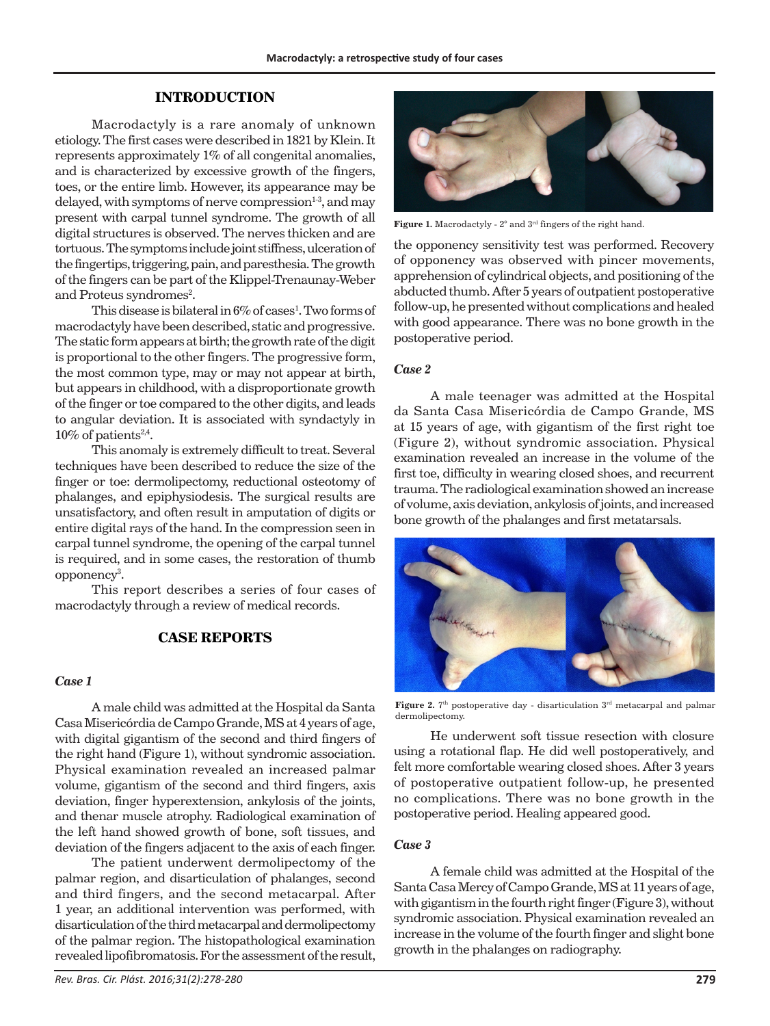### **INTRODUCTION**

Macrodactyly is a rare anomaly of unknown etiology. The first cases were described in 1821 by Klein. It represents approximately 1% of all congenital anomalies, and is characterized by excessive growth of the fingers, toes, or the entire limb. However, its appearance may be delayed, with symptoms of nerve compression $1-3$ , and may present with carpal tunnel syndrome. The growth of all digital structures is observed. The nerves thicken and are tortuous. The symptoms include joint stiffness, ulceration of the fingertips, triggering, pain, and paresthesia. The growth of the fingers can be part of the Klippel-Trenaunay-Weber and Proteus syndromes<sup>2</sup>.

This disease is bilateral in  $6\%$  of cases<sup>1</sup>. Two forms of macrodactyly have been described, static and progressive. The static form appears at birth; the growth rate of the digit is proportional to the other fingers. The progressive form, the most common type, may or may not appear at birth, but appears in childhood, with a disproportionate growth of the finger or toe compared to the other digits, and leads to angular deviation. It is associated with syndactyly in  $10\%$  of patients<sup>2,4</sup>.

This anomaly is extremely difficult to treat. Several techniques have been described to reduce the size of the finger or toe: dermolipectomy, reductional osteotomy of phalanges, and epiphysiodesis. The surgical results are unsatisfactory, and often result in amputation of digits or entire digital rays of the hand. In the compression seen in carpal tunnel syndrome, the opening of the carpal tunnel is required, and in some cases, the restoration of thumb opponency<sup>3</sup>.

This report describes a series of four cases of macrodactyly through a review of medical records.

## **CASE REPORTS**

#### *Case 1*

A male child was admitted at the Hospital da Santa Casa Misericórdia de Campo Grande, MS at 4 years of age, with digital gigantism of the second and third fingers of the right hand (Figure 1), without syndromic association. Physical examination revealed an increased palmar volume, gigantism of the second and third fingers, axis deviation, finger hyperextension, ankylosis of the joints, and thenar muscle atrophy. Radiological examination of the left hand showed growth of bone, soft tissues, and deviation of the fingers adjacent to the axis of each finger.

The patient underwent dermolipectomy of the palmar region, and disarticulation of phalanges, second and third fingers, and the second metacarpal. After 1 year, an additional intervention was performed, with disarticulation of the third metacarpal and dermolipectomy of the palmar region. The histopathological examination revealed lipofibromatosis. For the assessment of the result,



**Figure 1.** Macrodactyly - 2° and 3rd fingers of the right hand.

the opponency sensitivity test was performed. Recovery of opponency was observed with pincer movements, apprehension of cylindrical objects, and positioning of the abducted thumb. After 5 years of outpatient postoperative follow-up, he presented without complications and healed with good appearance. There was no bone growth in the postoperative period.

### *Case 2*

A male teenager was admitted at the Hospital da Santa Casa Misericórdia de Campo Grande, MS at 15 years of age, with gigantism of the first right toe (Figure 2), without syndromic association. Physical examination revealed an increase in the volume of the first toe, difficulty in wearing closed shoes, and recurrent trauma. The radiological examination showed an increase of volume, axis deviation, ankylosis of joints, and increased bone growth of the phalanges and first metatarsals.



Figure 2. <sup>7th</sup> postoperative day - disarticulation 3<sup>rd</sup> metacarpal and palmar dermolipectomy.

He underwent soft tissue resection with closure using a rotational flap. He did well postoperatively, and felt more comfortable wearing closed shoes. After 3 years of postoperative outpatient follow-up, he presented no complications. There was no bone growth in the postoperative period. Healing appeared good.

## *Case 3*

A female child was admitted at the Hospital of the Santa Casa Mercy of Campo Grande, MS at 11 years of age, with gigantism in the fourth right finger (Figure 3), without syndromic association. Physical examination revealed an increase in the volume of the fourth finger and slight bone growth in the phalanges on radiography.